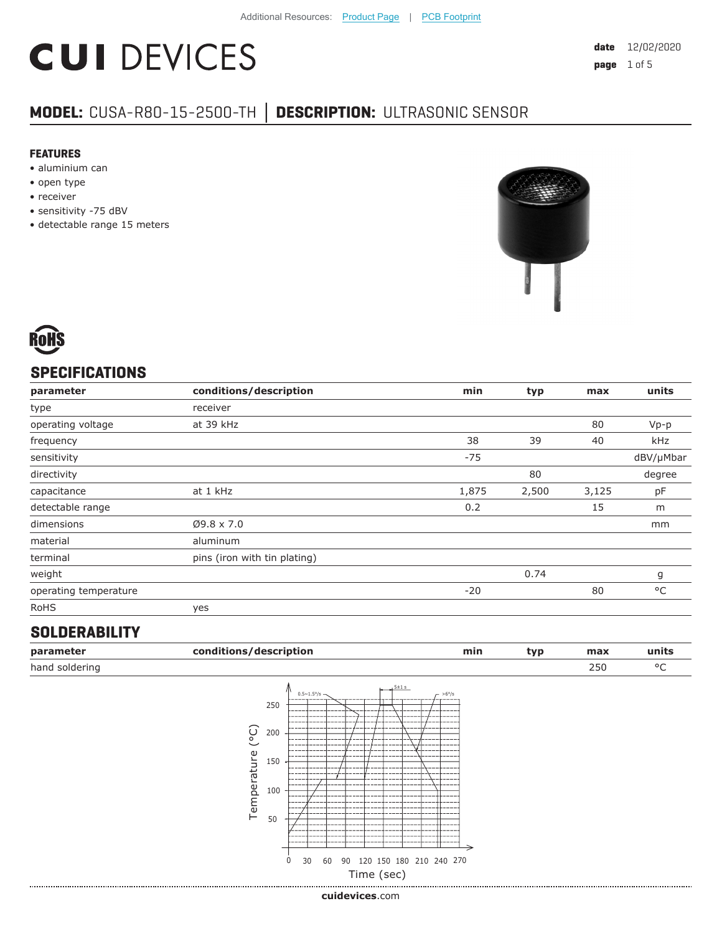# **CUI DEVICES**

### **MODEL:** CUSA-R80-15-2500-TH **│ DESCRIPTION:** ULTRASONIC SENSOR

#### **FEATURES**

- aluminium can
- open type
- receiver
- sensitivity -75 dBV
- detectable range 15 meters





#### **SPECIFICATIONS**

| parameter             | conditions/description       | min   | typ   | max   | units     |
|-----------------------|------------------------------|-------|-------|-------|-----------|
| type                  | receiver                     |       |       |       |           |
| operating voltage     | at 39 kHz                    |       |       | 80    | $Vp-p$    |
| frequency             |                              | 38    | 39    | 40    | kHz       |
| sensitivity           |                              | $-75$ |       |       | dBV/µMbar |
| directivity           |                              |       | 80    |       | degree    |
| capacitance           | at 1 kHz                     | 1,875 | 2,500 | 3,125 | pF        |
| detectable range      |                              | 0.2   |       | 15    | m         |
| dimensions            | $Ø9.8 \times 7.0$            |       |       |       | mm        |
| material              | aluminum                     |       |       |       |           |
| terminal              | pins (iron with tin plating) |       |       |       |           |
| weight                |                              |       | 0.74  |       | g         |
| operating temperature |                              | $-20$ |       | 80    | °C        |
| <b>RoHS</b>           | yes                          |       |       |       |           |

#### **SOLDERABILITY**

|                     |                                                                                  |                                                          |    |  |                          | min                       |                            | typ | max | units |
|---------------------|----------------------------------------------------------------------------------|----------------------------------------------------------|----|--|--------------------------|---------------------------|----------------------------|-----|-----|-------|
|                     |                                                                                  |                                                          |    |  |                          |                           |                            |     | 250 | °C    |
| (°C)<br>Temperature | $0.5 \sim 1.5^{\circ}/s$ -<br>-----<br>-----<br>----<br>---<br>$\mathbf 0$<br>30 |                                                          |    |  |                          |                           |                            |     |     |       |
|                     |                                                                                  | conditions/description<br>250<br>200<br>150<br>100<br>50 | 60 |  | $15 + 1 s$<br>Time (sec) | $-56^{\circ}/s$<br>------ | 90 120 150 180 210 240 270 |     |     |       |

**cui[devices](https://www.cuidevices.com/track?actionLabel=Datasheet-ClickThrough-HomePage&label=CUSA-R80-15-2500-TH.pdf&path=/)**.com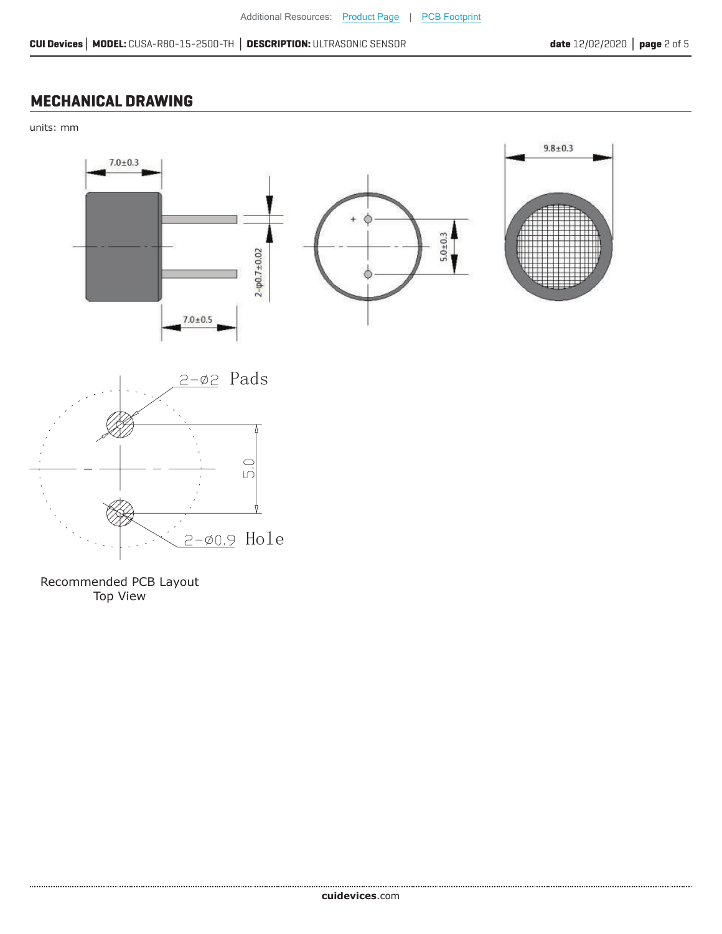#### **MECHANICAL DRAWING**

units: mm



Recommended PCB Layout Top View

.....................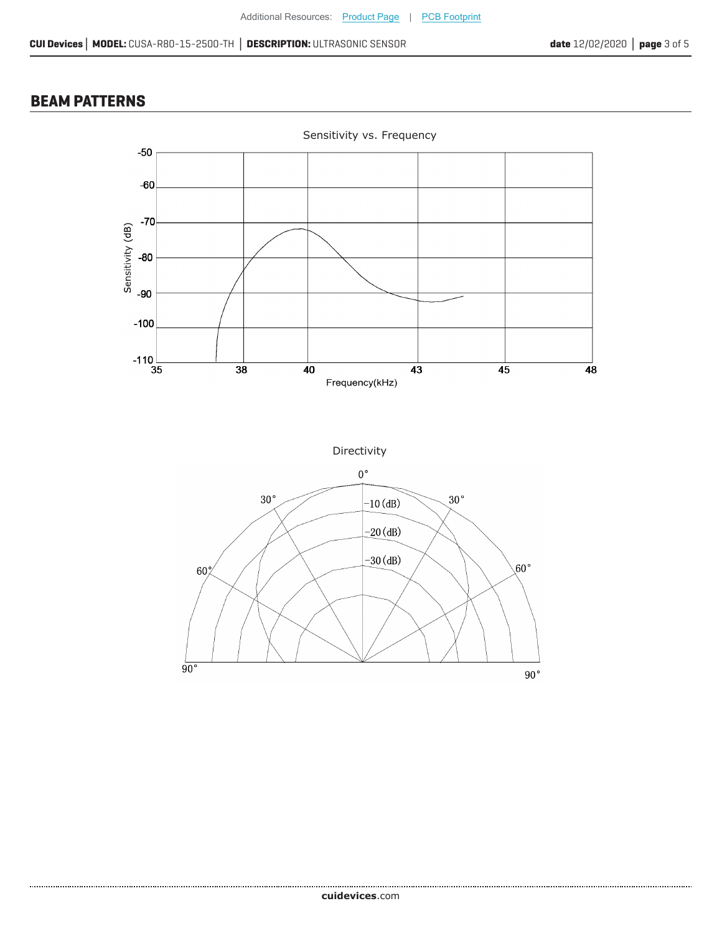#### **BEAM PATTERNS**

....................





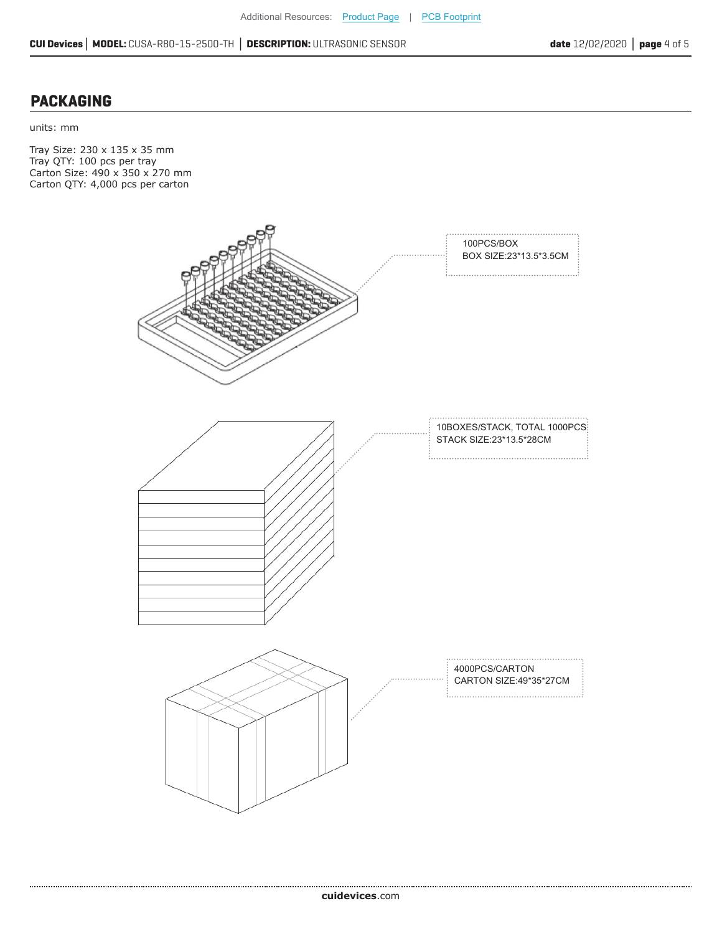#### **PACKAGING**

units: mm

Tray Size: 230 x 135 x 35 mm Tray QTY: 100 pcs per tray Carton Size: 490 x 350 x 270 mm Carton QTY: 4,000 pcs per carton